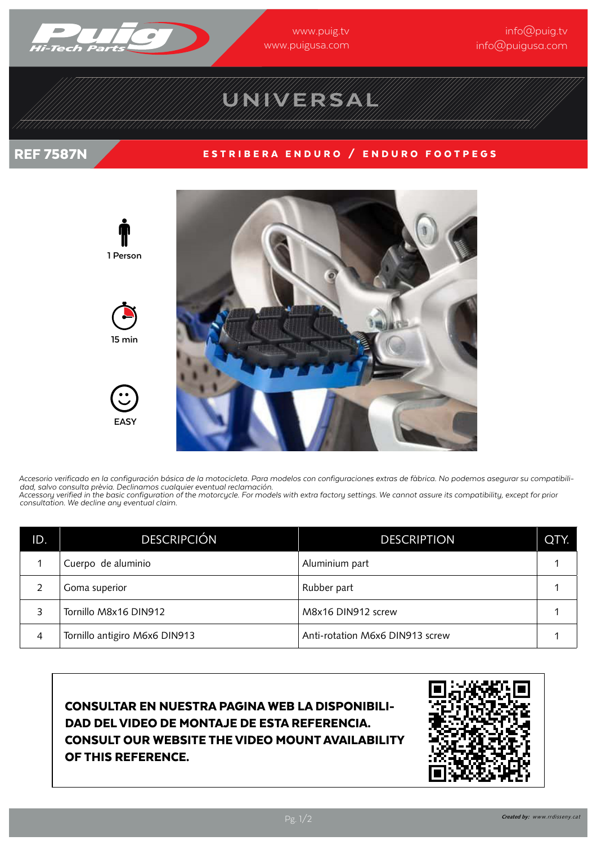

www.puig.tv www.puigusa.com

### info@puig.tv info@puigusa.com

# UNIVERSAL

### REF 7587N ESTRIBERA ENDURO / ENDURO FOOTPEGS



Accesorio verificado en la configuración básica de la motocicleta. Para modelos con configuraciones extras de fàbrica. No podemos asegurar su compatibili-<br>dad, salvo consulta prèvia. Declinamos cualquier eventual reclamaci *Accessory verified in the basic configuration of the motorcycle. For models with extra factory settings. We cannot assure its compatibility, except for prior consultation. We decline any eventual claim.*

| ID. | <b>DESCRIPCIÓN</b>            | <b>DESCRIPTION</b>              | QTY. |
|-----|-------------------------------|---------------------------------|------|
|     | Cuerpo de aluminio            | Aluminium part                  |      |
|     | Goma superior                 | Rubber part                     |      |
| 3   | Tornillo M8x16 DIN912         | M8x16 DIN912 screw              |      |
| 4   | Tornillo antigiro M6x6 DIN913 | Anti-rotation M6x6 DIN913 screw |      |

CONSULTAR EN NUESTRA PAGINA WEB LA DISPONIBILI-DAD DEL VIDEO DE MONTAJE DE ESTA REFERENCIA. CONSULT OUR WEBSITE THE VIDEO MOUNT AVAILABILITY OF THIS REFERENCE.